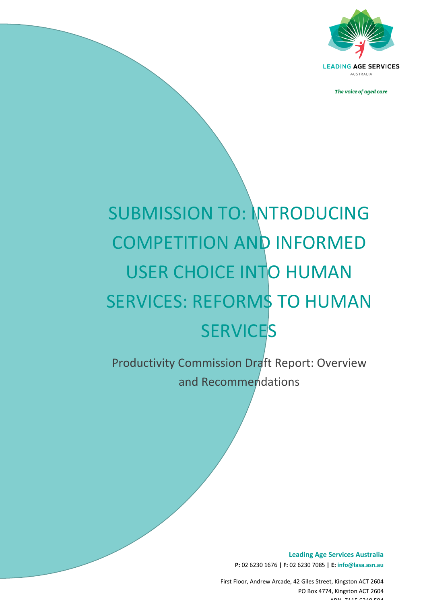

AUSTRALIA

The voice of aged care

# SUBMISSION TO: INTRODUCING COMPETITION AND INFORMED USER CHOICE INTO HUMAN SERVICES: REFORMS TO HUMAN **SERVICES**

Productivity Commission Draft Report: Overview and!Recommendations

*The\$voice\$of\$aged\$care*

**Leading Age Services Australia P:** 02!6230!1676!**|#F:** 02!6230!7085!**|#E: info@lasa.asn.au**

First Floor, Andrew Arcade, 42 Giles Street, Kingston ACT 2604 PO Box 4774, Kingston ACT 2604  $ADN$   $7115$   $7945$   $7949$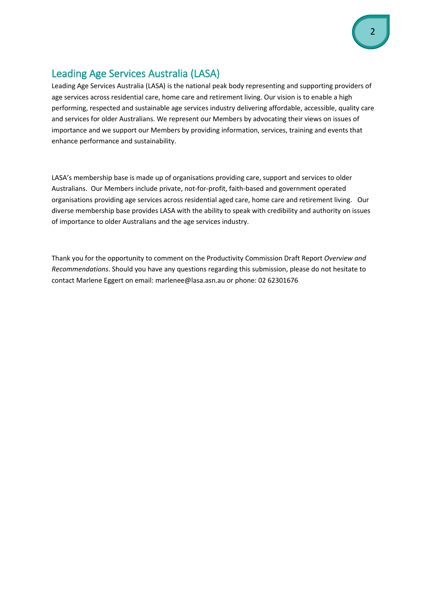# <span id="page-1-0"></span>Leading Age Services Australia (LASA)

Leading Age Services Australia (LASA) is the national peak body representing and supporting providers of age services across residential care, home care and retirement living. Our vision is to enable a high performing, respected and sustainable age services industry delivering affordable, accessible, quality care and services for older Australians. We represent our Members by advocating their views on issues of importance and we support our Members by providing information, services, training and events that enhance performance and sustainability.

LASA's membership base is made up of organisations providing care, support and services to older Australians. Our Members include private, not-for-profit, faith-based and government operated organisations providing age services across residential aged care, home care and retirement living. Our diverse membership base provides LASA with the ability to speak with credibility and authority on issues of importance to older Australians and the age services industry.

Thank you for the opportunity to comment on the Productivity Commission Draft Report Overview and *Recommendations*. Should you have any questions regarding this submission, please do not hesitate to contact Marlene Eggert on email: marlenee@lasa.asn.au or phone: 02 62301676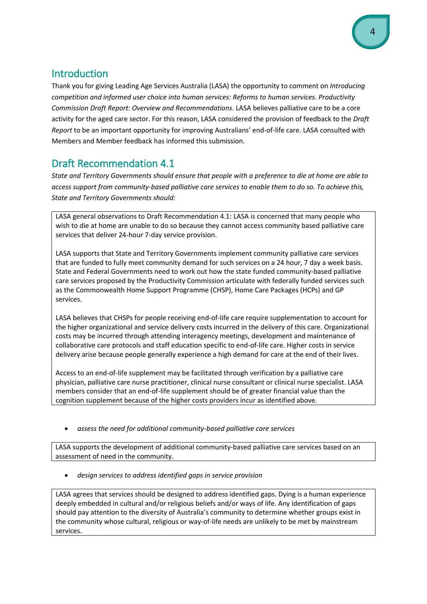### <span id="page-3-0"></span>Introduction

Thank you for giving Leading Age Services Australia (LASA) the opportunity to comment on Introducing competition and informed user choice into human services: Reforms to human services. Productivity Commission Draft Report: Overview and Recommendations. LASA believes palliative care to be a core activity for the aged care sector. For this reason, LASA considered the provision of feedback to the Draft Report to be an important opportunity for improving Australians' end-of-life care. LASA consulted with Members and Member feedback has informed this submission.

# <span id="page-3-1"></span>**Draft Recommendation 4.1**

State and Territory Governments should ensure that people with a preference to die at home are able to access support from community-based palliative care services to enable them to do so. To achieve this, **State and Territory Governments should:** 

LASA general observations to Draft Recommendation 4.1: LASA is concerned that many people who wish to die at home are unable to do so because they cannot access community based palliative care services that deliver 24-hour 7-day service provision.

LASA supports that State and Territory Governments implement community palliative care services that are funded to fully meet community demand for such services on a 24 hour, 7 day a week basis. State and Federal Governments need to work out how the state funded community-based palliative care services proposed by the Productivity Commission articulate with federally funded services such as the Commonwealth Home Support Programme (CHSP), Home Care Packages (HCPs) and GP services.

LASA believes that CHSPs for people receiving end-of-life care require supplementation to account for the higher organizational and service delivery costs incurred in the delivery of this care. Organizational costs may be incurred through attending interagency meetings, development and maintenance of collaborative care protocols and staff education specific to end-of-life care. Higher costs in service delivery arise because people generally experience a high demand for care at the end of their lives.

Access to an end-of-life supplement may be facilitated through verification by a palliative care physician, palliative care nurse practitioner, clinical nurse consultant or clinical nurse specialist. LASA members consider that an end-of-life supplement should be of greater financial value than the cognition supplement because of the higher costs providers incur as identified above.

assess the need for additional community-based palliative care services

LASA supports the development of additional community-based palliative care services based on an assessment of need in the community.

• design services to address identified gaps in service provision

LASA agrees that services should be designed to address identified gaps. Dying is a human experience deeply embedded in cultural and/or religious beliefs and/or ways of life. Any identification of gaps should pay attention to the diversity of Australia's community to determine whether groups exist in the community whose cultural, religious or way-of-life needs are unlikely to be met by mainstream services.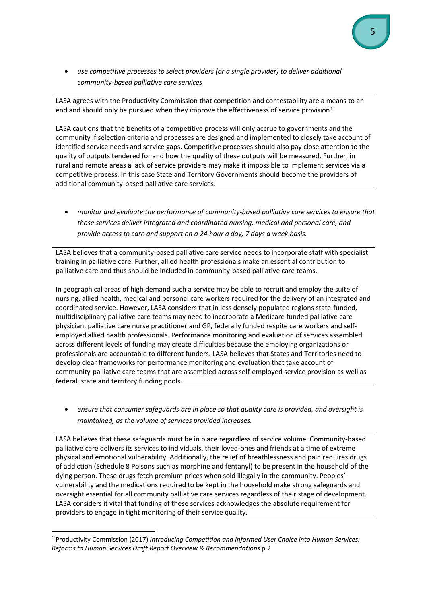**•** use competitive processes to select providers (or a single provider) to deliver additional community-based palliative care services

LASA agrees with the Productivity Commission that competition and contestability are a means to an end and should only be pursued when they improve the effectiveness of service provision<sup>[1](#page-4-0)</sup>.

LASA cautions that the benefits of a competitive process will only accrue to governments and the community if selection criteria and processes are designed and implemented to closely take account of identified service needs and service gaps. Competitive processes should also pay close attention to the quality of outputs tendered for and how the quality of these outputs will be measured. Further, in rural and remote areas a lack of service providers may make it impossible to implement services via a competitive process. In this case State and Territory Governments should become the providers of additional community-based palliative care services.

**•** monitor and evaluate the performance of community-based palliative care services to ensure that those services deliver integrated and coordinated nursing, medical and personal care, and *provide access to care and support on a 24 hour a day, 7 days a week basis.* 

LASA believes that a community-based palliative care service needs to incorporate staff with specialist training in palliative care. Further, allied health professionals make an essential contribution to palliative care and thus should be included in community-based palliative care teams.

In geographical areas of high demand such a service may be able to recruit and employ the suite of nursing, allied health, medical and personal care workers required for the delivery of an integrated and coordinated service. However, LASA considers that in less densely populated regions state-funded, multidisciplinary palliative care teams may need to incorporate a Medicare funded palliative care physician, palliative care nurse practitioner and GP, federally funded respite care workers and selfemployed allied health professionals. Performance monitoring and evaluation of services assembled across different levels of funding may create difficulties because the employing organizations or professionals are accountable to different funders. LASA believes that States and Territories need to develop clear frameworks for performance monitoring and evaluation that take account of community-palliative care teams that are assembled across self-employed service provision as well as federal, state and territory funding pools.

ensure that consumer safeguards are in place so that quality care is provided, and oversight is *maintained, as the volume of services provided increases.* 

LASA believes that these safeguards must be in place regardless of service volume. Community-based palliative care delivers its services to individuals, their loved-ones and friends at a time of extreme physical and emotional vulnerability. Additionally, the relief of breathlessness and pain requires drugs of addiction (Schedule 8 Poisons such as morphine and fentanyl) to be present in the household of the dying person. These drugs fetch premium prices when sold illegally in the community. Peoples' vulnerability and the medications required to be kept in the household make strong safeguards and oversight essential for all community palliative care services regardless of their stage of development. LASA considers it vital that funding of these services acknowledges the absolute requirement for providers to engage in tight monitoring of their service quality.

!!!!!!!!!!!!!!!!!!!!!!!!!!!!!!!!!!!!!!!!!!!!!!!!!!!!!!!!!!!!

<span id="page-4-0"></span><sup>&</sup>lt;sup>1</sup> Productivity Commission (2017) Introducing Competition and Informed User Choice into Human Services: *Reforms\$to\$Human\$Services Draft\$Report\$Overview\$&\$Recommendations\$*p.2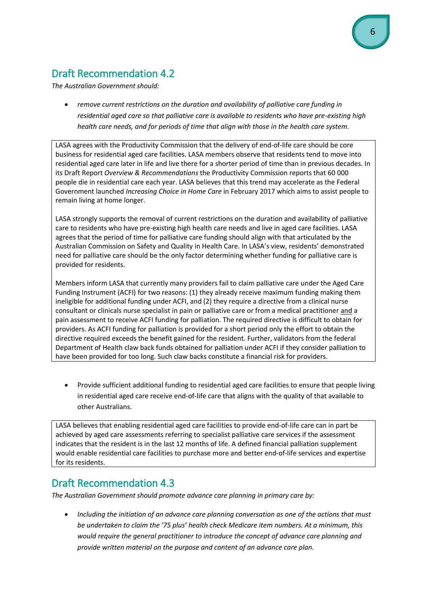# <span id="page-5-0"></span>**Draft Recommendation 4.2**

The Australian Government should:

• remove current restrictions on the duration and availability of palliative care funding in residential aged care so that palliative care is available to residents who have pre-existing high health care needs, and for periods of time that align with those in the health care system.

LASA agrees with the Productivity Commission that the delivery of end-of-life care should be core business for residential aged care facilities. LASA members observe that residents tend to move into residential aged care later in life and live there for a shorter period of time than in previous decades. In its Draft Report Overview & Recommendations the Productivity Commission reports that 60 000 people die in residential care each year. LASA believes that this trend may accelerate as the Federal Government launched Increasing Choice in Home Care in February 2017 which aims to assist people to remain living at home longer.

LASA strongly supports the removal of current restrictions on the duration and availability of palliative care to residents who have pre-existing high health care needs and live in aged care facilities. LASA agrees that the period of time for palliative care funding should align with that articulated by the Australian Commission on Safety and Quality in Health Care. In LASA's view, residents' demonstrated need for palliative care should be the only factor determining whether funding for palliative care is provided for residents.

Members inform LASA that currently many providers fail to claim palliative care under the Aged Care Funding Instrument (ACFI) for two reasons: (1) they already receive maximum funding making them ineligible for additional funding under ACFI, and (2) they require a directive from a clinical nurse consultant or clinicals nurse specialist in pain or palliative care or from a medical practitioner and a pain assessment to receive ACFI funding for palliation. The required directive is difficult to obtain for providers. As ACFI funding for palliation is provided for a short period only the effort to obtain the directive required exceeds the benefit gained for the resident. Further, validators from the federal Department of Health claw back funds obtained for palliation under ACFI if they consider palliation to have been provided for too long. Such claw backs constitute a financial risk for providers.

Provide sufficient additional funding to residential aged care facilities to ensure that people living in residential aged care receive end-of-life care that aligns with the quality of that available to other Australians.

LASA believes that enabling residential aged care facilities to provide end-of-life care can in part be achieved by aged care assessments referring to specialist palliative care services if the assessment indicates that the resident is in the last 12 months of life. A defined financial palliation supplement would enable residential care facilities to purchase more and better end-of-life services and expertise for its residents.

#### **Draft Recommendation 4.3**

The Australian Government should promote advance care planning in primary care by:

Including the initiation of an advance care planning conversation as one of the actions that must be undertaken to claim the '75 plus' health check Medicare item numbers. At a minimum, this would require the general practitioner to introduce the concept of advance care planning and provide written material on the purpose and content of an advance care plan.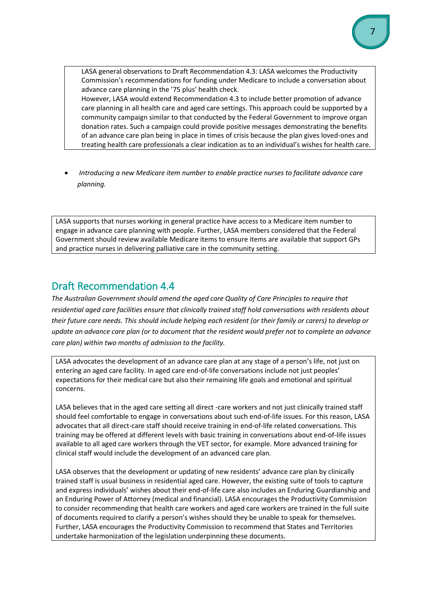LASA general observations to Draft Recommendation 4.3: LASA welcomes the Productivity Commission's recommendations for funding under Medicare to include a conversation about advance care planning in the '75 plus' health check. However, LASA would extend Recommendation 4.3 to include better promotion of advance care planning in all health care and aged care settings. This approach could be supported by a community campaign similar to that conducted by the Federal Government to improve organ donation rates. Such a campaign could provide positive messages demonstrating the benefits of an advance care plan being in place in times of crisis because the plan gives loved-ones and treating health care professionals a clear indication as to an individual's wishes for health care.

*Introducing a new Medicare item number to enable practice nurses to facilitate advance care planning.*

LASA supports that nurses working in general practice have access to a Medicare item number to engage in advance care planning with people. Further, LASA members considered that the Federal Government should review available Medicare items to ensure items are available that support GPs and practice nurses in delivering palliative care in the community setting.

#### <span id="page-6-0"></span>Draft Recommendation 4.4

The Australian Government should amend the aged care Quality of Care Principles to require that residential aged care facilities ensure that clinically trained staff hold conversations with residents about their future care needs. This should include helping each resident (or their family or carers) to develop or update an advance care plan (or to document that the resident would prefer not to complete an advance *care plan)* within two months of admission to the facility.

LASA advocates the development of an advance care plan at any stage of a person's life, not just on entering an aged care facility. In aged care end-of-life conversations include not just peoples' expectations for their medical care but also their remaining life goals and emotional and spiritual concerns.

LASA believes that in the aged care setting all direct -care workers and not just clinically trained staff should feel comfortable to engage in conversations about such end-of-life issues. For this reason, LASA advocates that all direct-care staff should receive training in end-of-life related conversations. This training may be offered at different levels with basic training in conversations about end-of-life issues available to all aged care workers through the VET sector, for example. More advanced training for clinical staff would include the development of an advanced care plan.

LASA observes that the development or updating of new residents' advance care plan by clinically trained staff is usual business in residential aged care. However, the existing suite of tools to capture and express individuals' wishes about their end-of-life care also includes an Enduring Guardianship and an Enduring Power of Attorney (medical and financial). LASA encourages the Productivity Commission to consider recommending that health care workers and aged care workers are trained in the full suite of documents required to clarify a person's wishes should they be unable to speak for themselves. Further, LASA encourages the Productivity Commission to recommend that States and Territories undertake harmonization of the legislation underpinning these documents.